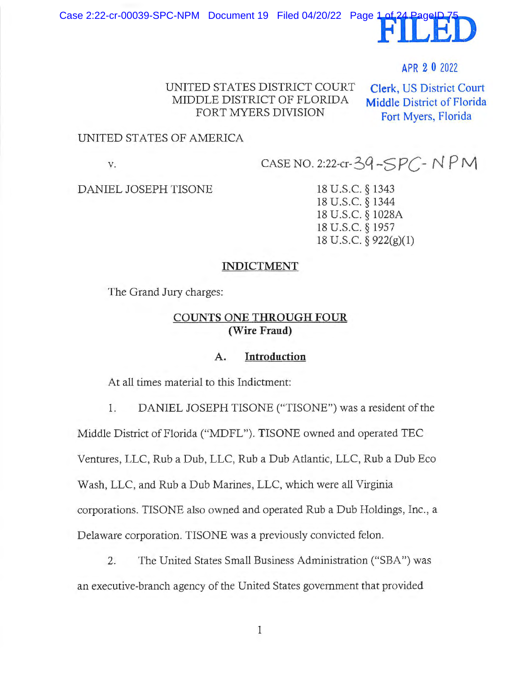Case 2:22-cr-00039-SPC-NPM Document 19 Filed 04/20/22 Page 1



## APR 2 0 2022

UNITED STATES DISTRJCT COURT MIDDLE DISTRJCT OF FLORJDA FORT MYERS DIVISION

**Clerk,** US District Court **Middle** District of Florida Fort Myers, Florida

#### UNITED STATES OF AMERJCA

**V.** 

 $CASE NO. 2:22-cr-39-SPC-NPM$ 

DANIEL JOSEPH TISONE

18 U.S.C. § 1343 18 U.S.C. § 1344 18 U.S.C. § 1028A 18 U.S.C. § 1957 18 U.S.C. § 922(g)(l)

#### **INDICTMENT**

The Grand Jury charges:

### **COUNTS ONE THROUGH FOUR (Wire Fraud)**

### **A. Introduction**

At all times material to this Indictment:

1. DANIEL JOSEPH TISONE ("TISONE") was a resident of the

Middle District of Florida ("MDFL"). TISONE owned and operated TEC

Ventures, LLC, Rub a Dub, LLC, Rub a Dub Atlantic, LLC, Rub a Dub Eco

Wash, LLC, and Rub a Dub Marines, LLC, which were all Virginia

corporations. TISONE also owned and operated Rub a Dub Holdings, Inc., a

Delaware corporation. TISONE was a previously convicted felon.

2. The United States Small Business Administration ("SBA") was an executive-branch agency of the United States government that provided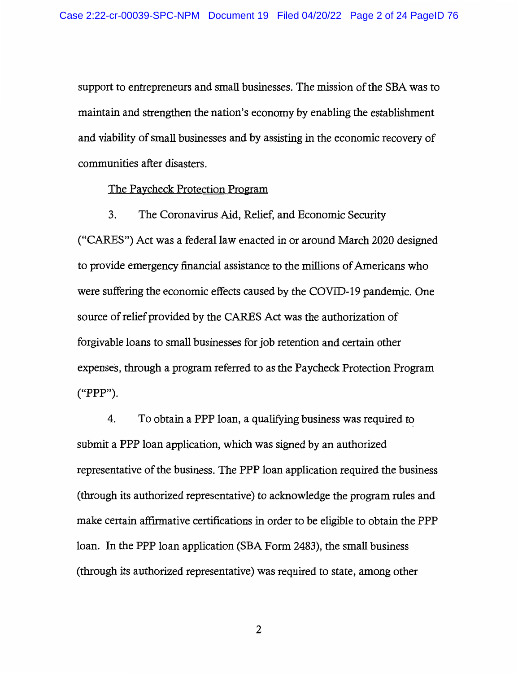support to entrepreneurs and small businesses. The mission of the SBA was to maintain and strengthen the nation's economy by enabling the establishment and viability of small businesses and by assisting in the economic recovery of communities after disasters.

#### The Paycheck Protection Program

3. The Coronavirus Aid, Relief, and Economic Security

("CARES") Act was a federal law enacted in or around March 2020 designed to provide emergency financial assistance to the millions of Americans who were suffering the economic effects caused by the COVID-19 pandemic. One source of relief provided by the CARES Act was the authorization of forgivable loans to small businesses for job retention and certain other expenses, through a program referred to as the Paycheck Protection Program ("PPP").

4. To obtain a PPP loan, a qualifying business was required to submit a PPP loan application, which was signed by an authorized representative of the business. The PPP loan application required the business ( through its authorized representative) to acknowledge the program rules and make certain affirmative certifications in order to be eligible to obtain the PPP loan. In the PPP loan application (SBA Form 2483), the small business (through its authorized representative) was required to state, among other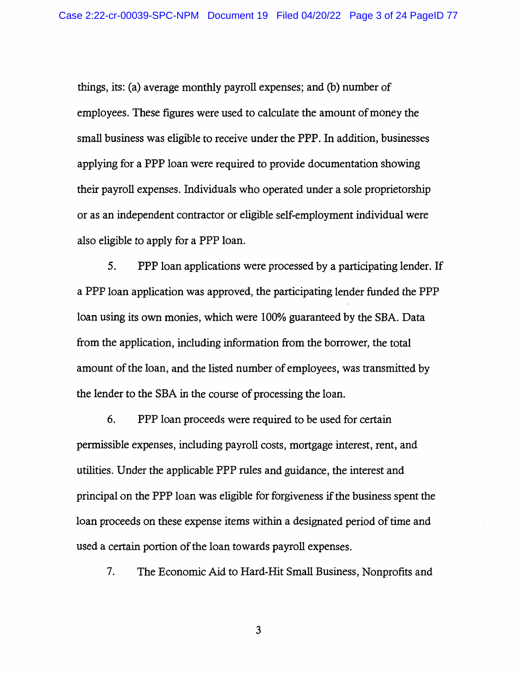things, its: (a) average monthly payroll expenses; and (b) number of employees. These figures were used to calculate the amount of money the small business was eligible to receive under the PPP. In addition, businesses applying for a PPP loan were required to provide documentation showing their payroll expenses. Individuals who operated under a sole proprietorship or as an independent contractor or eligible self-employment individual were also eligible to apply for a PPP loan.

5. PPP loan applications were processed by a participating lender. If a PPP loan application was approved, the participating lender funded the PPP loan using its own monies, which were 100% guaranteed by the SBA. Data from the application, including information from the borrower, the total amount of the loan, and the listed number of employees, was transmitted by the lender to the SBA in the course of processing the loan.

6. PPP loan proceeds were required to be used for certain permissible expenses, including payroll costs, mortgage interest, rent, and utilities. Under the applicable PPP rules and guidance, the interest and principal on the PPP loan was eligible for forgiveness if the business spent the loan proceeds on these expense items within a designated period of time and used a certain portion of the loan towards payroll expenses.

7. The Economic Aid to Hard-Hit Small Business, Nonprofits and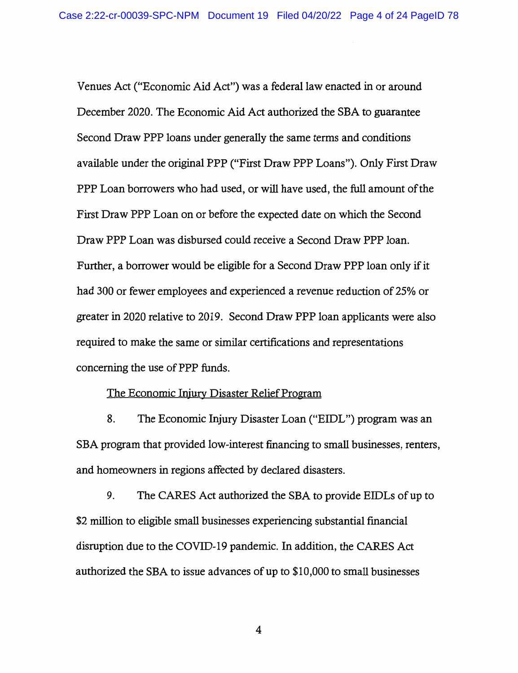Venues Act ("Economic Aid Act") was a federal law enacted in or around December 2020. The Economic Aid Act authorized the SBA to guarantee Second Draw PPP loans under generally the same terms and conditions available under the original PPP ("First Draw PPP Loans"). Only First Draw PPP Loan borrowers who had used, or will have used, the full amount of the First Draw PPP Loan on or before the expected date on which the Second Draw PPP Loan was disbursed could receive a Second Draw PPP loan. Further, a borrower would be eligible for a Second Draw PPP loan only if it had 300 or fewer employees and experienced a revenue reduction of 25% or greater in 2020 relative to 2019. Second Draw PPP loan applicants were also required to make the same or similar certifications and representations concerning the use of PPP funds.

#### The Economic Injury Disaster Relief Program

8. The Economic Injury Disaster Loan ("EIDL") program was an SBA program that provided low-interest financing to small businesses, renters, and homeowners in regions affected by declared disasters.

9. The CARES Act authorized the SBA to provide EIDLs of up to \$2 million to eligible small businesses experiencing substantial financial disruption due to the COVID-19 pandemic. In addition, the CARES Act authorized the SBA to issue advances of up to \$10,000 to small businesses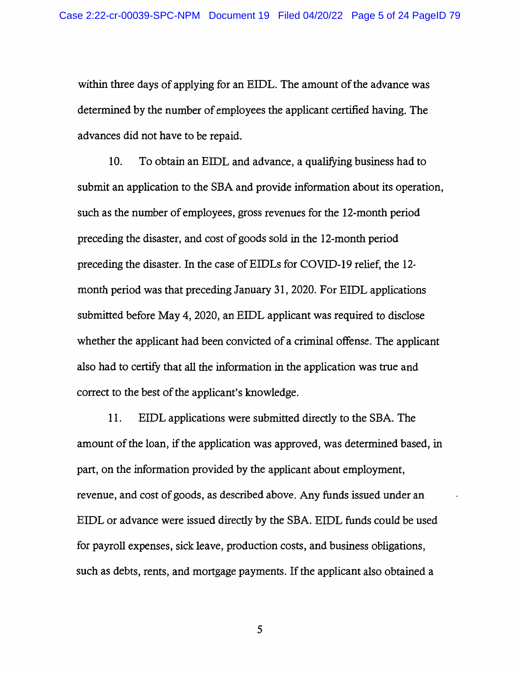within three days of applying for an EIDL. The amount of the advance was determined by the number of employees the applicant certified having. The advances did not have to be repaid.

10. To obtain an EIDL and advance, a qualifying business had to submit an application to the SBA and provide information about its operation, such as the number of employees, gross revenues for the 12-month period preceding the disaster, and cost of goods sold in the 12-month period preceding the disaster. In the case of EIDLs for COVID-19 relief, the 12month period was that preceding January 31, 2020. For EIDL applications submitted before May 4, 2020, an EIDL applicant was required to disclose whether the applicant had been convicted of a criminal offense. The applicant also had to certify that all the information in the application was true and correct to the best of the applicant's knowledge.

11. EIDL applications were submitted directly to the SBA. The amount of the loan, if the application was approved, was determined based, in part, on the information provided by the applicant about employment, revenue, and cost of goods, as described above. Any funds issued under an EIDL or advance were issued directly by the SBA. EIDL funds could be used for payroll expenses, sick leave, production costs, and business obligations, such as debts, rents, and mortgage payments. If the applicant also obtained a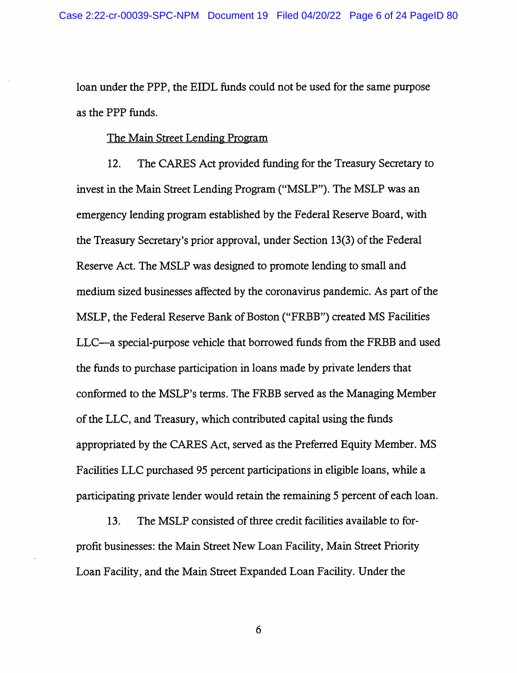loan under the PPP, the EIDL funds could not be used for the same purpose as the PPP funds.

### The Main Street Lending Program

12. The CARES Act provided funding for the Treasury Secretary to invest in the Main Street Lending Program ("MSLP"). The MSLP was an emergency lending program established by the Federal Reserve Board, with the Treasury Secretary's prior approval, under Section 13(3) of the Federal Reserve Act. The MSLP was designed to promote lending to small and medium sized businesses affected by the corona virus pandemic. As part of the MSLP, the Federal Reserve Bank of Boston ("FRBB") created MS Facilities LLC-a special-purpose vehicle that borrowed funds from the FRBB and used the funds to purchase participation in loans made by private lenders that conformed to the MSLP's terms. The FRBB served as the Managing Member of the LLC, and Treasury, which contributed capital using the funds appropriated by the CARES Act, served as the Preferred Equity Member. MS Facilities LLC purchased 95 percent participations in eligible loans, while a participating private lender would retain the remaining 5 percent of each loan.

13. The MSLP consisted of three credit facilities available to forprofit businesses: the Main Street New Loan Facility, Main Street Priority Loan Facility, and the Main Street Expanded Loan Facility. Under the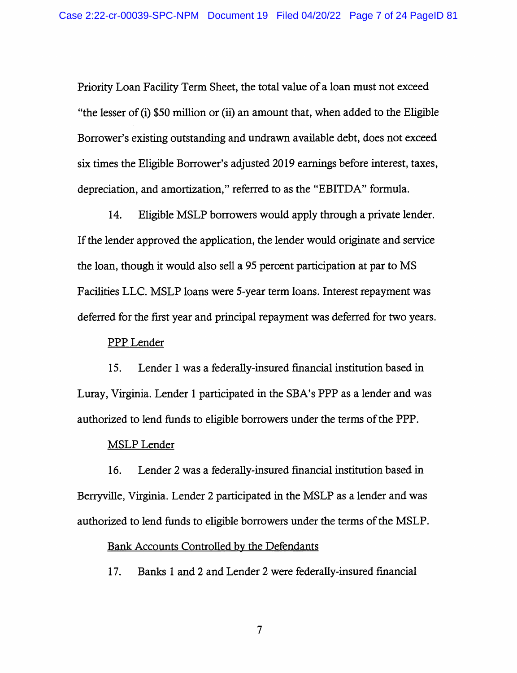Priority Loan Facility Term Sheet, the total value of a loan must not exceed "the lesser of (i) \$50 million or (ii) an amount that, when added to the Eligible Borrower's existing outstanding and undrawn available debt, does not exceed six times the Eligible Borrower's adjusted 2019 earnings before interest, taxes, depreciation, and amortization," referred to as the "EBITDA" formula.

14. Eligible MSLP borrowers would apply through a private lender. If the lender approved the application, the lender would originate and service the loan, though it would also sell a 95 percent participation at par to MS Facilities LLC. MSLP loans were 5-year term loans. Interest repayment was deferred for the first year and principal repayment was deferred for two years.

#### PPP Lender

15. Lender 1 was a federally-insured financial institution based in Luray, Virginia. Lender 1 participated in the SBA's PPP as a lender and was authorized to lend funds to eligible borrowers under the terms of the PPP.

#### **MSLP** Lender

16. Lender 2 was a federally-insured financial institution based in Berryville, Virginia. Lender 2 participated in the MSLP as a lender and was authorized to lend funds to eligible borrowers under the terms of the MSLP.

#### Bank Accounts Controlled by the Defendants

17. Banks 1 and 2 and Lender 2 were federally-insured financial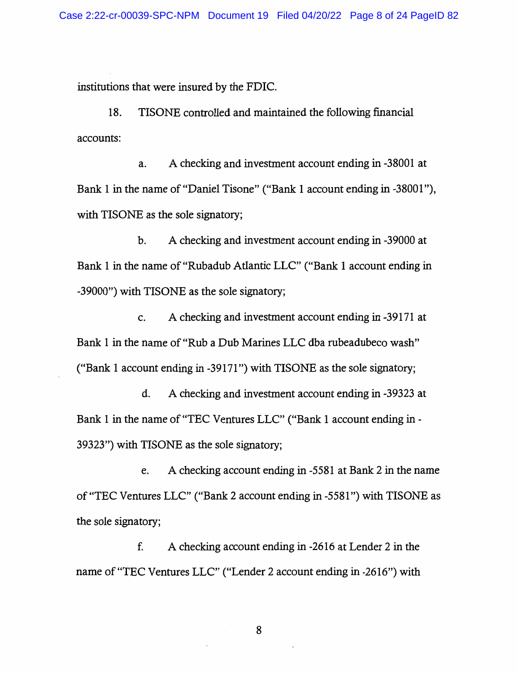institutions that were insured by the FDIC.

18. TISONE controlled and maintained the following financial accounts:

a. A checking and investment account ending in -38001 at Bank 1 in the name of "Daniel Tisone" ("Bank 1 account ending in -38001"), with TISONE as the sole signatory;

b. A checking and investment account ending in -39000 at Bank 1 in the name of "Rubadub Atlantic LLC" ("Bank 1 account ending in -39000") with TISONE as the sole signatory;

c. A checking and investment account ending in -39171 at Bank 1 in the name of "Rub a Dub Marines LLC dba rubeadubeco wash" ("Bank 1 account ending in-39171") with TISONE as the sole signatory;

d. A checking and investment account ending in -39323 at Bank 1 in the name of "TEC Ventures LLC" ("Bank 1 account ending in - 39323") with TISONE as the sole signatory;

e. A checking account ending in-5581 at Bank 2 in the name of "TEC Ventures LLC" ("Bank 2 account ending in -5581 ") with TISONE as the sole signatory;

f. A checking account ending in -2616 at Lender 2 in the name of "TEC Ventures LLC" ("Lender 2 account ending in-2616") with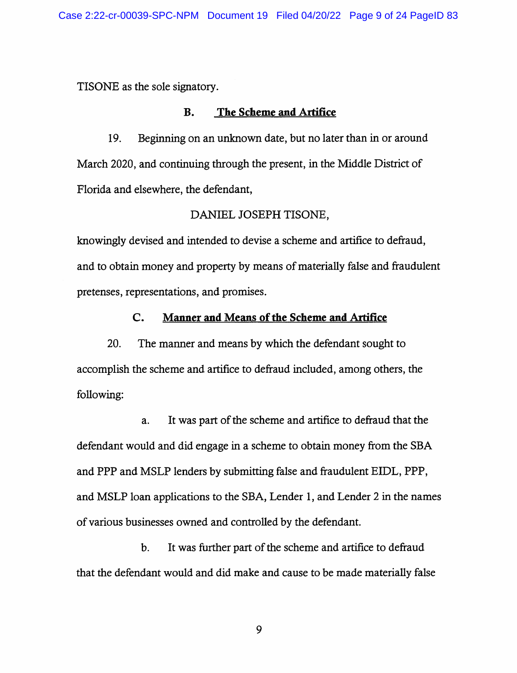TISONE as the sole signatory.

#### **B. The Scheme and Artifice**

19. Beginning on an unknown date, but no later than in or around March 2020, and continuing through the present, in the Middle District of Florida and elsewhere, the defendant,

### DANIEL JOSEPH TISONE,

knowingly devised and intended to devise a scheme and artifice to defraud, and to obtain money and property by means of materially false and fraudulent pretenses, representations, and promises.

#### **C. Manner and Means of the Scheme and Artifice**

20. The manner and means by which the defendant sought to accomplish the scheme and artifice to defraud included, among others, the following:

a. It was part of the scheme and artifice to defraud that the defendant would and did engage in a scheme to obtain money from the SBA and PPP and MSLP lenders by submitting false and fraudulent EIDL, PPP, and MSLP loan applications to the SBA, Lender I, and Lender 2 in the names of various businesses owned and controlled by the defendant.

b. It was further part of the scheme and artifice to defraud that the defendant would and did make and cause to be made materially false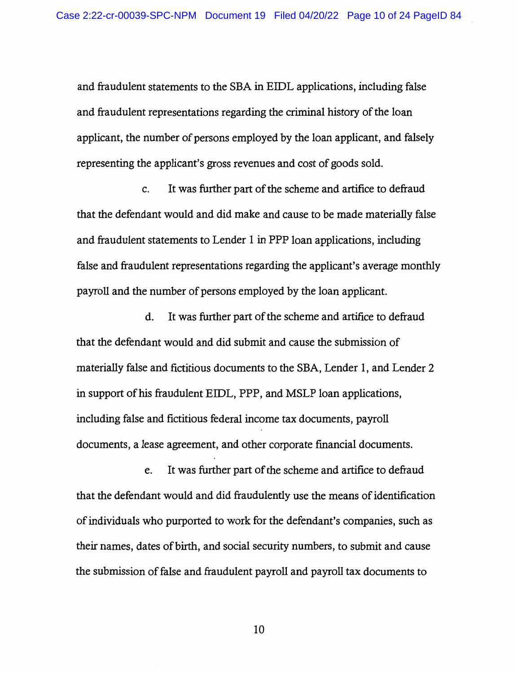and fraudulent statements to the SBA in EIDL applications, including false and fraudulent representations regarding the criminal history of the loan applicant, the number of persons employed by the loan applicant, and falsely representing the applicant's gross revenues and cost of goods sold.

c. It was further part of the scheme and artifice to defraud that the defendant would and did make and cause to be made materially false and fraudulent statements to Lender 1 in PPP loan applications, including false and fraudulent representations regarding the applicant's average monthly payroll and the number of persons employed by the loan applicant.

d. It was further part of the scheme and artifice to defraud that the defendant would and did submit and cause the submission of materially false and fictitious documents to the SBA, Lender 1, and Lender 2 in support of his fraudulent EIDL, PPP, and MSLP loan applications, including false and fictitious federal income tax documents, payroll documents, a lease agreement, and other corporate financial documents.

e. It was further part of the scheme and artifice to defraud that the defendant would and did fraudulently use the means of identification of individuals who purported to work for the defendant's companies, such as their names, dates of birth, and social security numbers, to submit and cause the submission of false and fraudulent payroll and payroll tax documents to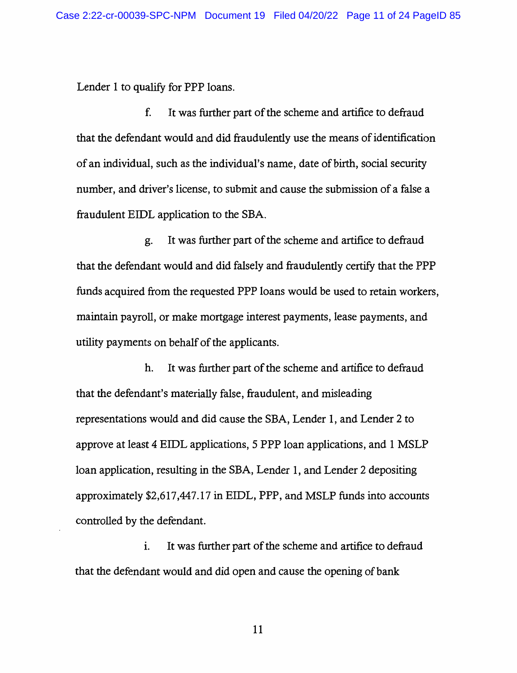Lender I to qualify for PPP loans.

f. It was further part of the scheme and artifice to defraud that the defendant would and did fraudulently use the means of identification of an individual, such as the individual's name, date of birth, social security number, and driver's license, to submit and cause the submission of a false a fraudulent EIDL application to the SBA.

g. It was further part of the scheme and artifice to defraud that the defendant would and did falsely and fraudulently certify that the PPP funds acquired from the requested PPP loans would be used to retain workers, maintain payroll, or make mortgage interest payments, lease payments, and utility payments on behalf of the applicants.

h. It was further part of the scheme and artifice to defraud that the defendant's materially false, fraudulent, and misleading representations would and did cause the SBA, Lender I, and Lender 2 to approve at least 4 EIDL applications, 5 PPP loan applications, and 1 MSLP loan application, resulting in the SBA, Lender 1, and Lender 2 depositing approximately \$2,617,447.17 in EIDL, PPP, and MSLP funds into accounts controlled by the defendant.

1. It was further part of the scheme and artifice to defraud that the defendant would and did open and cause the opening of bank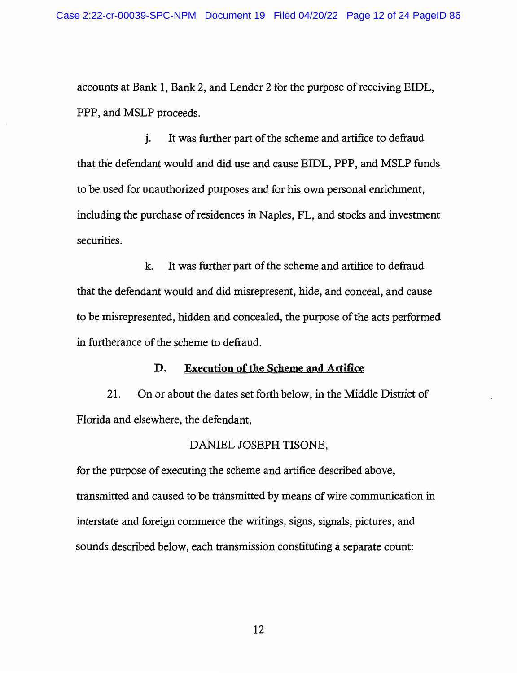accounts at Bank 1, Bank 2, and Lender 2 for the purpose of receiving EIDL, PPP, and MSLP proceeds.

j. It was further part of the scheme and artifice to defraud that the defendant would and did use and cause EIDL, PPP, and MSLP funds to be used for unauthorized purposes and for his own personal emichment, including the purchase of residences in Naples, FL, and stocks and investment securities.

k. It was further part of the scheme and artifice to defraud that the defendant would and did misrepresent, hide, and conceal, and cause to be misrepresented, hidden and concealed, the purpose of the acts performed in furtherance of the scheme to defraud.

### **D. Execution of the Scheme and Artifice**

21. On or about the dates set forth below, in the Middle District of Florida and elsewhere, the defendant,

### DANIEL JOSEPH TISONE,

for the purpose of executing the scheme and artifice described above, transmitted and caused to be transmitted by means of wire communication in interstate and foreign commerce the writings, signs, signals, pictures, and sounds described below, each transmission constituting a separate count: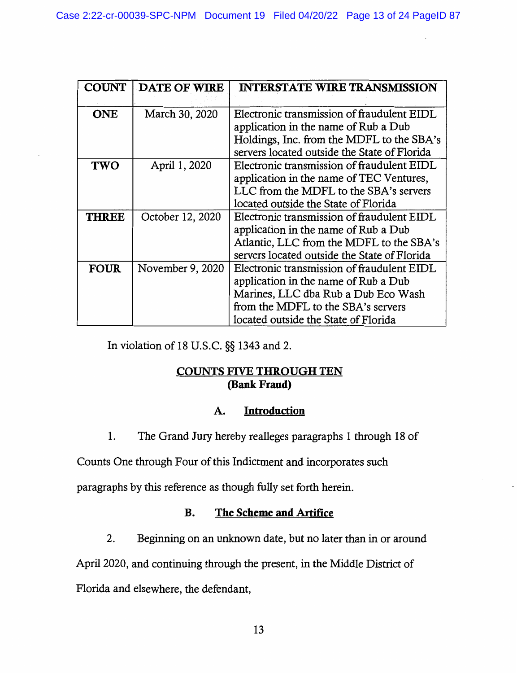| <b>COUNT</b> | <b>DATE OF WIRE</b> | <b>INTERSTATE WIRE TRANSMISSION</b>                                                                                                                                                                                      |
|--------------|---------------------|--------------------------------------------------------------------------------------------------------------------------------------------------------------------------------------------------------------------------|
| <b>ONE</b>   | March 30, 2020      | Electronic transmission of fraudulent EIDL<br>application in the name of Rub a Dub<br>Holdings, Inc. from the MDFL to the SBA's                                                                                          |
| <b>TWO</b>   | April 1, 2020       | servers located outside the State of Florida<br>Electronic transmission of fraudulent EIDL<br>application in the name of TEC Ventures,<br>LLC from the MDFL to the SBA's servers<br>located outside the State of Florida |
| <b>THREE</b> | October 12, 2020    | Electronic transmission of fraudulent EIDL<br>application in the name of Rub a Dub<br>Atlantic, LLC from the MDFL to the SBA's<br>servers located outside the State of Florida                                           |
| <b>FOUR</b>  | November 9, 2020    | Electronic transmission of fraudulent EIDL<br>application in the name of Rub a Dub<br>Marines, LLC dba Rub a Dub Eco Wash<br>from the MDFL to the SBA's servers<br>located outside the State of Florida                  |

In violation of 18 U.S.C. §§ 1343 and 2.

## **COUNTS FIVE THROUGH TEN (Bank Fraud)**

## **A. Introduction**

1. The Grand Jury hereby realleges paragraphs 1 through 18 of

Counts One through Four of this Indictment and incorporates such

paragraphs by this reference as though fully set forth herein.

# **B. The Scheme and Artifice**

2. Beginning on an unknown date, but no later than in or around

April 2020, and continuing through the present, in the Middle District of

Florida and elsewhere, the defendant,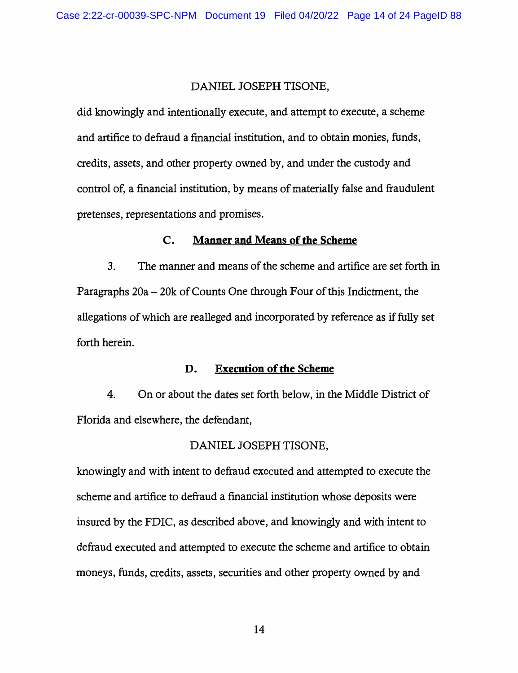#### DANIEL JOSEPH TISONE,

did knowingly and intentionally execute, and attempt to execute, a scheme and artifice to defraud a financial institution, and to obtain monies, funds, credits, assets, and other property owned by, and under the custody and control of, a financial institution, by means of materially false and fraudulent pretenses, representations and promises.

### **C. Manner and Means of the Scheme**

3. The manner and means of the scheme and artifice are set forth in Paragraphs 20a - 20k of Counts One through Four of this Indictment, the allegations of which are realleged and incorporated by reference as if fully set forth herein.

### **D. Execution of the Scheme**

4. On or about the dates set forth below, in the Middle District of Florida and elsewhere, the defendant,

#### DANIEL JOSEPH TISONE,

knowingly and with intent to defraud executed and attempted to execute the scheme and artifice to defraud a financial institution whose deposits were insured by the FDIC, as described above, and knowingly and with intent to defraud executed and attempted to execute the scheme and artifice to obtain moneys, funds, credits, assets, securities and other property owned by and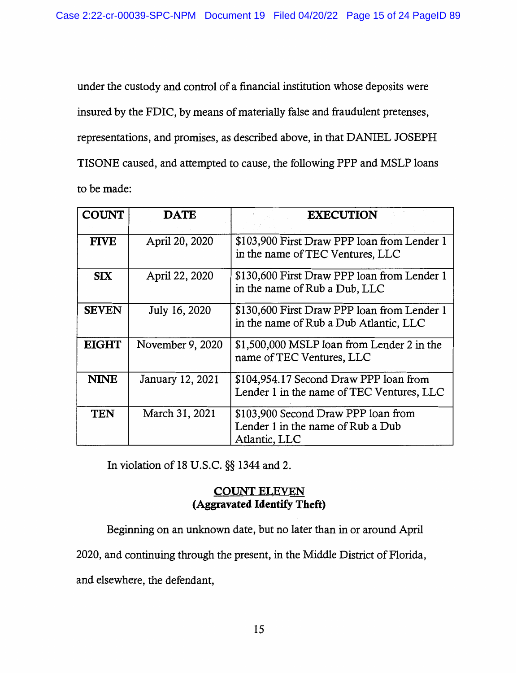under the custody and control of a financial institution whose deposits were insured by the FDIC, by means of materially false and fraudulent pretenses, representations, and promises, as described above, in that DANIEL JOSEPH TISONE caused, and attempted to cause, the following PPP and MSLP loans to be made:

| <b>COUNT</b> | <b>DATE</b>      | <b>EXECUTION</b>                                                                          |
|--------------|------------------|-------------------------------------------------------------------------------------------|
| <b>FIVE</b>  | April 20, 2020   | \$103,900 First Draw PPP loan from Lender 1<br>in the name of TEC Ventures, LLC           |
| <b>SIX</b>   | April 22, 2020   | \$130,600 First Draw PPP loan from Lender 1<br>in the name of Rub a Dub, LLC              |
| <b>SEVEN</b> | July 16, 2020    | \$130,600 First Draw PPP loan from Lender 1<br>in the name of Rub a Dub Atlantic, LLC     |
| <b>EIGHT</b> | November 9, 2020 | \$1,500,000 MSLP loan from Lender 2 in the<br>name of TEC Ventures, LLC                   |
| <b>NINE</b>  | January 12, 2021 | \$104,954.17 Second Draw PPP loan from<br>Lender 1 in the name of TEC Ventures, LLC       |
| <b>TEN</b>   | March 31, 2021   | \$103,900 Second Draw PPP loan from<br>Lender 1 in the name of Rub a Dub<br>Atlantic, LLC |

In violation of 18 U.S.C. §§ 1344 and 2.

# **COUNT ELEVEN (Aggravated Identify Theft)**

Beginning on an unknown date, but no later than in or around April

2020, and continuing through the present, in the Middle District of Florida,

and elsewhere, the defendant,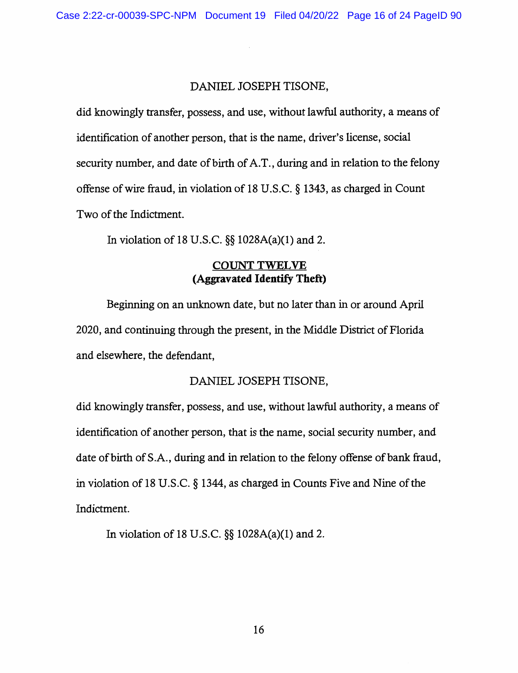### DANIEL JOSEPH TISONE,

did knowingly transfer, possess, and use, without lawful authority, a means of identification of another person, that is the name, driver's license, social security number, and date of birth of A.T., during and in relation to the felony offense of wire fraud, in violation of 18 U.S.C. § 1343, as charged in Count Two of the Indictment.

In violation of 18 U.S.C. §§ 1028A(a)(l) and 2.

## **COUNT TWELVE (Aggravated Identify Theft)**

Beginning on an unknown date, but no later than in or around April 2020, and continuing through the present, in the Middle District of Florida and elsewhere, the defendant,

## DANIEL JOSEPH TISONE,

did knowingly transfer, possess, and use, without lawful authority, a means of identification of another person, that is the name, social security number, and date of birth of S.A., during and in relation to the felony offense of bank fraud, in violation of 18 U.S.C. § 1344, as charged in Counts Five and Nine of the Indictment.

In violation of 18 U.S.C. §§ 1028A(a)(l) and 2.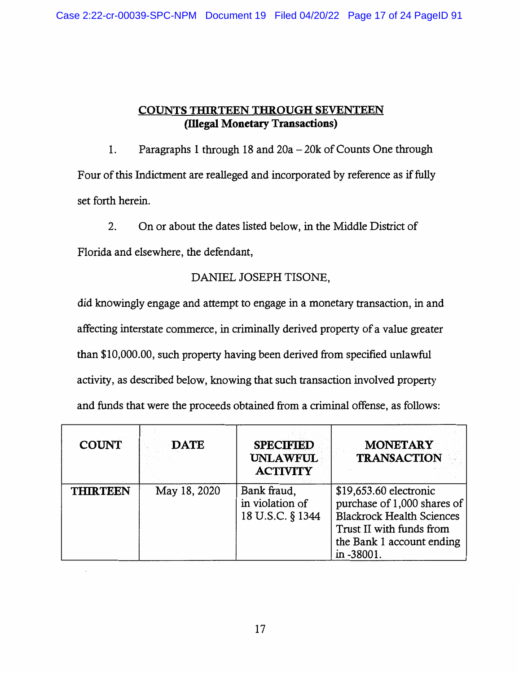# **COUNTS THIRTEEN THROUGH SEVENTEEN (illegal Monetary Transactions)**

1. Paragraphs 1 through 18 and 20a - 20k of Counts One through Four of this Indictment are realleged and incorporated by reference as if fully set forth herein.

2. On or about the dates listed below, in the Middle District of Florida and elsewhere, the defendant,

# DANIEL JOSEPH TISONE,

did knowingly engage and attempt to engage in a monetary transaction, in and affecting interstate commerce, in criminally derived property of a value greater than \$10,000.00, such property having been derived from specified unlawful activity, as described below, knowing that such transaction involved property and funds that were the proceeds obtained from a criminal offense, as follows:

| <b>COUNT</b>    | <b>DATE</b>  | <b>SPECIFIED</b><br><b>UNLAWFUL</b><br><b>ACTIVITY</b> | <b>MONETARY</b><br><b>TRANSACTION</b>                                                                                                                            |
|-----------------|--------------|--------------------------------------------------------|------------------------------------------------------------------------------------------------------------------------------------------------------------------|
| <b>THIRTEEN</b> | May 18, 2020 | Bank fraud,<br>in violation of<br>18 U.S.C. § 1344     | \$19,653.60 electronic<br>purchase of 1,000 shares of<br><b>Blackrock Health Sciences</b><br>Trust II with funds from<br>the Bank 1 account ending<br>in -38001. |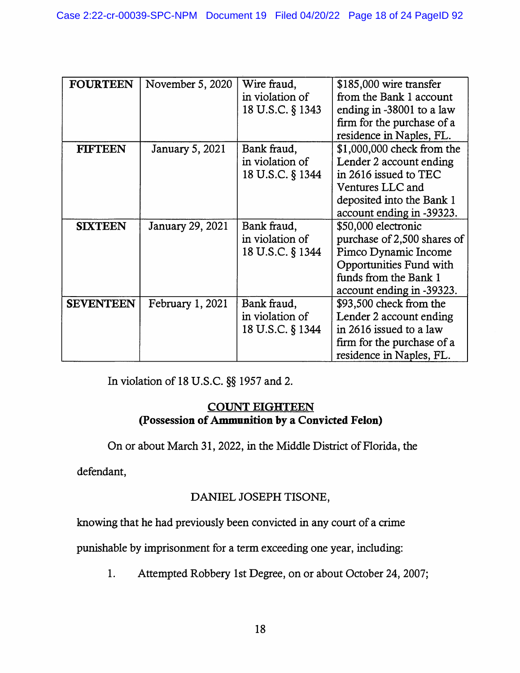| <b>FOURTEEN</b>  | November 5, 2020 | Wire fraud,      | \$185,000 wire transfer     |
|------------------|------------------|------------------|-----------------------------|
|                  |                  | in violation of  | from the Bank 1 account     |
|                  |                  | 18 U.S.C. § 1343 | ending in -38001 to a law   |
|                  |                  |                  | firm for the purchase of a  |
|                  |                  |                  | residence in Naples, FL.    |
| <b>FIFTEEN</b>   | January 5, 2021  | Bank fraud,      | \$1,000,000 check from the  |
|                  |                  | in violation of  | Lender 2 account ending     |
|                  |                  | 18 U.S.C. § 1344 | in 2616 issued to TEC       |
|                  |                  |                  | Ventures LLC and            |
|                  |                  |                  | deposited into the Bank 1   |
|                  |                  |                  | account ending in -39323.   |
| <b>SIXTEEN</b>   | January 29, 2021 | Bank fraud,      | \$50,000 electronic         |
|                  |                  | in violation of  | purchase of 2,500 shares of |
|                  |                  | 18 U.S.C. § 1344 | Pimco Dynamic Income        |
|                  |                  |                  | Opportunities Fund with     |
|                  |                  |                  | funds from the Bank 1       |
|                  |                  |                  | account ending in -39323.   |
| <b>SEVENTEEN</b> | February 1, 2021 | Bank fraud,      | \$93,500 check from the     |
|                  |                  | in violation of  | Lender 2 account ending     |
|                  |                  | 18 U.S.C. § 1344 | in 2616 issued to a law     |
|                  |                  |                  | firm for the purchase of a  |
|                  |                  |                  | residence in Naples, FL.    |

In violation of 18 U.S.C. §§ 1957 and 2.

# **COUNT EIGHTEEN (Possession of Ammunition by a Convicted Felon)**

On or about March 31, 2022, in the Middle District of Florida, the

defendant,

# DANIEL JOSEPH TISONE,

knowing that he had previously been convicted in any court of a crime

punishable by imprisonment for a term exceeding one year, including:

1. Attempted Robbery 1st Degree, on or about October 24, 2007;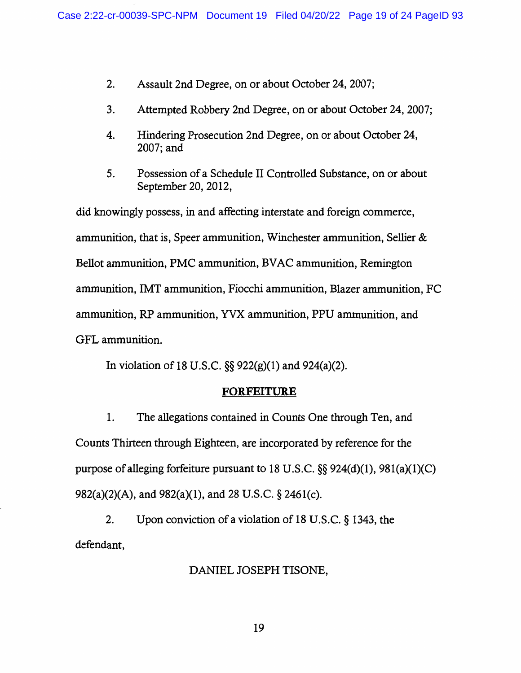- 2. Assault 2nd Degree, on or about October 24, 2007;
- 3. Attempted Robbery 2nd Degree, on or about October 24, 2007;
- 4. Hindering Prosecution 2nd Degree, on or about October 24, 2007;and
- 5. Possession of a Schedule II Controlled Substance, on or about September 20, 2012,

did knowingly possess, in and affecting interstate and foreign commerce, ammunition, that is, Speer ammunition, Winchester ammunition, Sellier & Bellot ammunition, PMC ammunition, BV AC ammunition, Remington ammunition, IMT ammunition, Fiocchi ammunition, Blazer ammunition, FC ammunition, RP ammunition, YVX ammunition, PPU ammunition, and GFL ammunition.

In violation of 18 U.S.C.  $\S$ § 922(g)(1) and 924(a)(2).

### **FORFEITURE**

1. The allegations contained in Counts One through Ten, and Counts Thirteen through Eighteen, are incorporated by reference for the purpose of alleging forfeiture pursuant to 18 U.S.C.  $\S$ § 924(d)(1), 981(a)(1)(C) 982(a)(2)(A), and 982(a){l), and 28 U.S.C. § 246l{c).

2. Upon conviction of a violation of 18 U.S.C. § 1343, the defendant,

### DANIEL JOSEPH TISONE,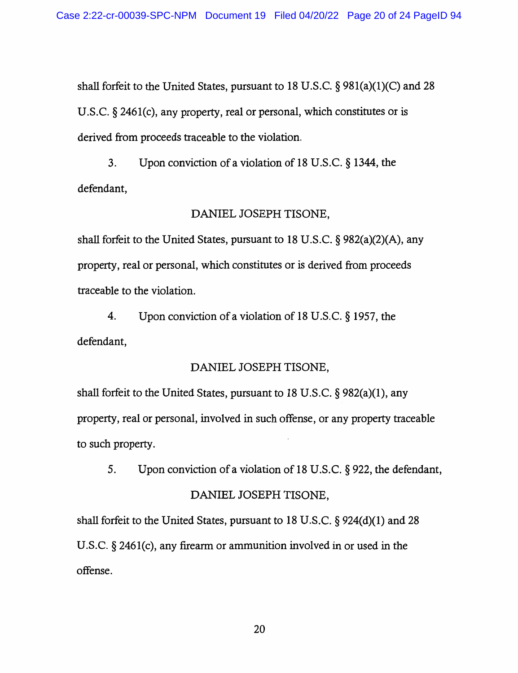shall forfeit to the United States, pursuant to 18 U.S.C.  $\S$  981(a)(1)(C) and 28 U.S.C. § 2461(c), any property, real or personal, which constitutes or is derived from proceeds traceable to the violation.

3. Upon conviction of a violation of 18 U.S.C. § 1344, the defendant,

### DANIEL JOSEPH TISONE,

shall forfeit to the United States, pursuant to 18 U.S.C. § 982(a)(2)(A), any property, real or personal, which constitutes or is derived from proceeds traceable to the violation.

4. Upon conviction of a violation of 18 U.S.C. § 1957, the defendant,

### DANIEL JOSEPH TISONE,

shall forfeit to the United States, pursuant to 18 U.S.C. § 982(a)(l), any property, real or personal, involved in such offense, or any property traceable to such property.

5. Upon conviction of a violation of 18 U.S.C. § 922, the defendant,

### DANIEL JOSEPH TISONE,

shall forfeit to the United States, pursuant to 18 U.S.C.  $\S$  924(d)(1) and 28 U.S.C. § 246l(c), any firearm or ammunition involved in or used in the offense.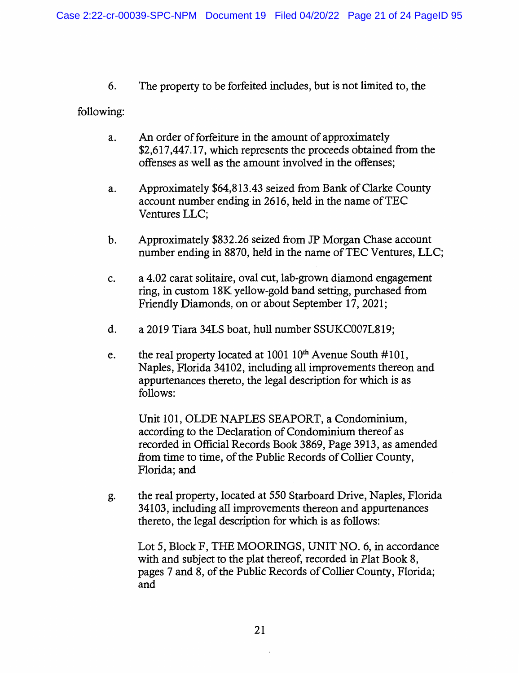6. The property to be forfeited includes, but is not limited to, the

### following:

- a. An order of forfeiture in the amount of approximately \$2,617,447.17, which represents the proceeds obtained from the offenses as well as the amount involved in the offenses;
- a. Approximately \$64,813.43 seized from Bank of Clarke County account number ending in 2616, held in the name of TEC Ventures LLC;
- b. Approximately \$832.26 seized from JP Morgan Chase account number ending in 8870, held in the name of TEC Ventures, LLC;
- c. a 4.02 carat solitaire, oval cut, lab-grown diamond engagement ring, in custom 18K yellow-gold band setting, purchased from Friendly Diamonds, on or about September 17, 2021;
- d. a 2019 Tiara 34LS boat, hull number SSUKC007L819;
- e. the real property located at  $1001 10<sup>th</sup>$  Avenue South #101, Naples, Florida 34102, including all improvements thereon and appurtenances thereto, the legal description for which is as follows:

Unit 101, OLDE NAPLES SEAPORT, a Condominium, according to the Declaration of Condominium thereof as recorded in Official Records Book 3869, Page 3913, as amended from time to time, of the Public Records of Collier County, Florida; and

g. the real property, located at 550 Starboard Drive, Naples, Florida 34103, including all improvements thereon and appurtenances thereto, the legal description for which is as follows:

Lot 5, Block F, THE MOORINGS, UNIT NO. 6, in accordance with and subject to the plat thereof, recorded in Plat Book 8, pages 7 and 8, of the Public Records of Collier County, Florida; and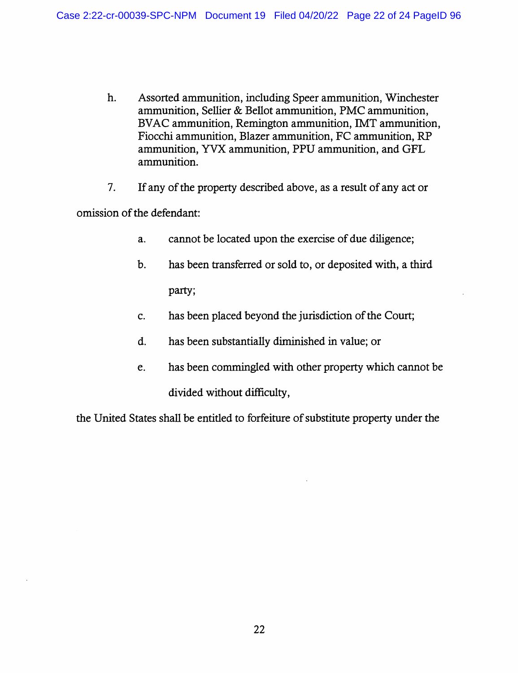- h. Assorted ammunition, including Speer ammunition, Winchester ammunition, Sellier & Bellot ammunition, PMC ammunition, BV AC ammunition, Remington ammunition, IMT ammunition, Fiocchi ammunition, Blazer ammunition, FC ammunition, RP ammunition, YVX ammunition, PPU ammunition, and GFL ammunition.
- 7. If any of the property described above, as a result of any act or

omission of the defendant:

- a. cannot be located upon the exercise of due diligence;
- b. has been transferred or sold to, or deposited with, a third party;
- c. has been placed beyond the jurisdiction of the Court;
- d. has been substantially diminished in value; or
- e. has been commingled with other property which cannot be divided without difficulty,

the United States shall be entitled to forfeiture of substitute property under the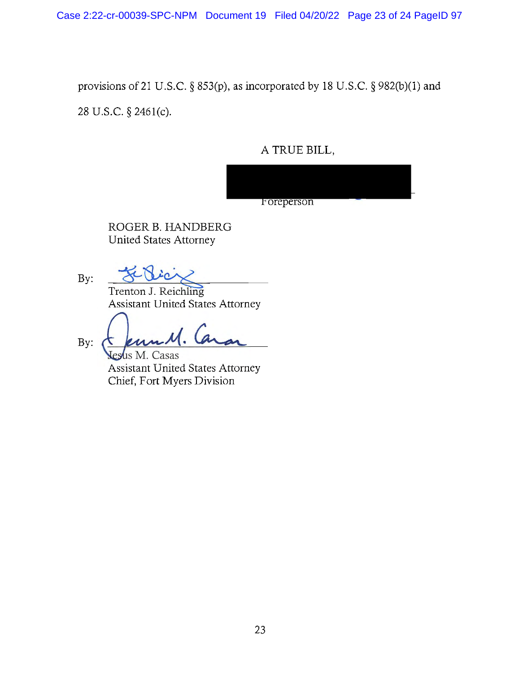Case 2:22-cr-00039-SPC-NPM Document 19 Filed 04/20/22 Page 23 of 24 PageID 97

provisions of 21 U.S.C. § 853(p), as incorporated by 18 U.S.C. § 982(b)(l) and

28 U.S.C. § 246l(c).

A TRUE BILL,



ROGER B. HANDBERG United States Attorney

Trenton J. Reichling Assistant United States Attorney

Ferne M. Caran<br>Jesus M. Casas<br>Assistant United States Attorney

By:

By:

**Jesus M. Casas** Chief, Fort Myers Division